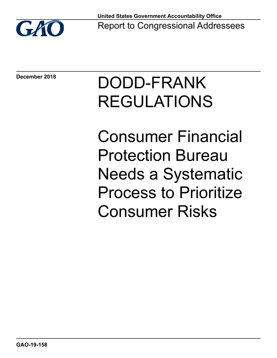

**December 2018**

# DODD-FRANK REGULATIONS

Consumer Financial Protection Bureau Needs a Systematic Process to Prioritize Consumer Risks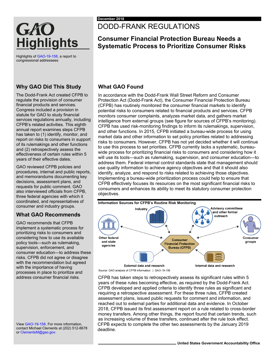# GAO **Highlights**

Highlights o[f GAO-19-158,](https://www.gao.gov/products/GAO-19-158) a report to congressional addressees

# **Why GAO Did This Study**

The Dodd-Frank Act created CFPB to regulate the provision of consumer financial products and services. Congress included a provision in statute for GAO to study financial services regulations annually, including CFPB's related activities. This eighth annual report examines steps CFPB has taken to (1) identify, monitor, and report on risks to consumers in support of its rulemakings and other functions and (2) retrospectively assess the effectiveness of certain rules within 5 years of their effective dates.

GAO reviewed CFPB policies and procedures, internal and public reports, and memorandums documenting key decisions, assessment plans, and requests for public comment. GAO also interviewed officials from CFPB, three federal agencies with which it coordinated, and representatives of consumer and industry groups.

# **What GAO Recommends**

GAO recommends that CFPB implement a systematic process for prioritizing risks to consumers and considering how to use its available policy tools—such as rulemaking, supervision, enforcement, and consumer education—to address these risks. CFPB did not agree or disagree with the recommendation but agreed with the importance of having processes in place to prioritize and address consumer financial risks.

Vie[w GAO-19-158.](https://www.gao.gov/products/GAO-19-158) For more information, contact Michael Clements at (202) 512-8678 o[r ClementsM@gao.gov.](mailto:ClementsM@gao.gov)

# DODD-FRANK REGULATIONS

# **Consumer Financial Protection Bureau Needs a Systematic Process to Prioritize Consumer Risks**

# **What GAO Found**

In accordance with the Dodd-Frank Wall Street Reform and Consumer Protection Act (Dodd-Frank Act), the Consumer Financial Protection Bureau (CFPB) has routinely monitored the consumer financial markets to identify potential risks to consumers related to financial products and services. CFPB monitors consumer complaints, analyzes market data, and gathers market intelligence from external groups (see figure for sources of CFPB's monitoring). CFPB has used risk-monitoring findings to inform its rulemakings, supervision, and other functions. In 2015, CFPB initiated a bureau-wide process for using market data and other information to set policy priorities related to addressing risks to consumers. However, CFPB has not yet decided whether it will continue to use this process to set priorities. CFPB currently lacks a systematic, bureauwide process for prioritizing financial risks to consumers and considering how it will use its tools—such as rulemaking, supervision, and consumer education—to address them. Federal internal control standards state that management should use quality information to achieve agency objectives and that it should also identify, analyze, and respond to risks related to achieving those objectives. Implementing a bureau-wide prioritization process could help to ensure that CFPB effectively focuses its resources on the most significant financial risks to consumers and enhances its ability to meet its statutory consumer protection objectives.



Source: GAO analysis of CFPB information. | GAO-19-158

CFPB has taken steps to retrospectively assess its significant rules within 5 years of these rules becoming effective, as required by the Dodd-Frank Act. CFPB developed and applied criteria to identify three rules as significant and requiring a retrospective assessment. For these three rules, CFPB created assessment plans, issued public requests for comment and information, and reached out to external parties for additional data and evidence. In October 2018, CFPB issued its first assessment report on a rule related to cross-border money transfers. Among other things, the report found that certain trends, such as increasing volume of these transfers, continued after the rule took effect. CFPB expects to complete the other two assessments by the January 2019 deadline.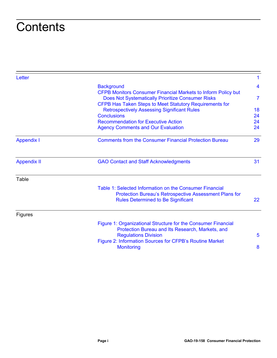# **Contents**

|                                                                                                                                                                                                             | 1                                                                            |
|-------------------------------------------------------------------------------------------------------------------------------------------------------------------------------------------------------------|------------------------------------------------------------------------------|
| <b>Background</b>                                                                                                                                                                                           | 4                                                                            |
| <b>CFPB Monitors Consumer Financial Markets to Inform Policy but</b><br><b>Does Not Systematically Prioritize Consumer Risks</b>                                                                            | $\overline{7}$                                                               |
| <b>Retrospectively Assessing Significant Rules</b>                                                                                                                                                          | 18                                                                           |
| <b>Conclusions</b>                                                                                                                                                                                          | 24                                                                           |
| <b>Recommendation for Executive Action</b>                                                                                                                                                                  | 24                                                                           |
| <b>Agency Comments and Our Evaluation</b>                                                                                                                                                                   | 24                                                                           |
| <b>Comments from the Consumer Financial Protection Bureau</b>                                                                                                                                               | 29                                                                           |
| <b>GAO Contact and Staff Acknowledgments</b>                                                                                                                                                                | 31                                                                           |
|                                                                                                                                                                                                             |                                                                              |
| Table 1: Selected Information on the Consumer Financial<br><b>Protection Bureau's Retrospective Assessment Plans for</b><br><b>Rules Determined to Be Significant</b>                                       | 22                                                                           |
|                                                                                                                                                                                                             |                                                                              |
| Figure 1: Organizational Structure for the Consumer Financial<br>Protection Bureau and Its Research, Markets, and<br><b>Regulations Division</b><br>Figure 2: Information Sources for CFPB's Routine Market | 5<br>8                                                                       |
|                                                                                                                                                                                                             | CFPB Has Taken Steps to Meet Statutory Requirements for<br><b>Monitoring</b> |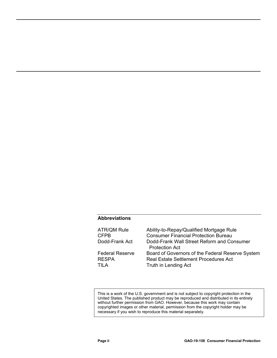#### **Abbreviations**

| ATR/QM Rule                      | Ability-to-Repay/Qualified Mortgage Rule                                                                                 |
|----------------------------------|--------------------------------------------------------------------------------------------------------------------------|
| CFPB                             | <b>Consumer Financial Protection Bureau</b>                                                                              |
| Dodd-Frank Act                   | Dodd-Frank Wall Street Reform and Consumer<br><b>Protection Act</b>                                                      |
| Federal Reserve<br>RESPA<br>TILA | Board of Governors of the Federal Reserve System<br><b>Real Estate Settlement Procedures Act</b><br>Truth in Lending Act |

This is a work of the U.S. government and is not subject to copyright protection in the United States. The published product may be reproduced and distributed in its entirety without further permission from GAO. However, because this work may contain copyrighted images or other material, permission from the copyright holder may be necessary if you wish to reproduce this material separately.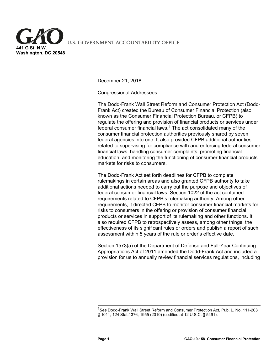<span id="page-4-0"></span>**U.S. GOVERNMENT ACCOUNTABILITY OFFICE** 

**441 G St. N.W. Washington, DC 20548**

December 21, 2018

Congressional Addressees

The Dodd-Frank Wall Street Reform and Consumer Protection Act (Dodd-Frank Act) created the Bureau of Consumer Financial Protection (also known as the Consumer Financial Protection Bureau, or CFPB) to regulate the offering and provision of financial products or services under federal consumer financial laws.<sup>[1](#page-5-0)</sup> The act consolidated many of the consumer financial protection authorities previously shared by seven federal agencies into one. It also provided CFPB additional authorities related to supervising for compliance with and enforcing federal consumer financial laws, handling consumer complaints, promoting financial education, and monitoring the functioning of consumer financial products markets for risks to consumers.

The Dodd-Frank Act set forth deadlines for CFPB to complete rulemakings in certain areas and also granted CFPB authority to take additional actions needed to carry out the purpose and objectives of federal consumer financial laws. Section 1022 of the act contained requirements related to CFPB's rulemaking authority. Among other requirements, it directed CFPB to monitor consumer financial markets for risks to consumers in the offering or provision of consumer financial products or services in support of its rulemaking and other functions. It also required CFPB to retrospectively assess, among other things, the effectiveness of its significant rules or orders and publish a report of such assessment within 5 years of the rule or order's effective date.

Section 1573(a) of the Department of Defense and Full-Year Continuing Appropriations Act of 2011 amended the Dodd-Frank Act and included a provision for us to annually review financial services regulations, including

<sup>1</sup> *See* Dodd-Frank Wall Street Reform and Consumer Protection Act, Pub. L. No. 111-203 § 1011, 124 Stat.1376, 1955 (2010) (codified at 12 U.S.C. § 5491).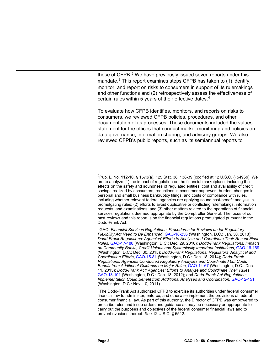those of CFPB.<sup>[2](#page-6-0)</sup> We have previously issued seven reports under this mandate.<sup>[3](#page-6-1)</sup> This report examines steps CFPB has taken to  $(1)$  identify, monitor, and report on risks to consumers in support of its rulemakings and other functions and (2) retrospectively assess the effectiveness of certain rules within 5 years of their effective dates.<sup>[4](#page-6-2)</sup>

To evaluate how CFPB identifies, monitors, and reports on risks to consumers, we reviewed CFPB policies, procedures, and other documentation of its processes. These documents included the values statement for the offices that conduct market monitoring and policies on data governance, information sharing, and advisory groups. We also reviewed CFPB's public reports, such as its semiannual reports to

3 GAO, *Financial Services Regulations: Procedures for Reviews under Regulatory Flexibility Act Need to Be Enhanced*, [GAO-18-256 \(](https://www.gao.gov/products/GAO-18-256)Washington, D.C.: Jan. 30, 2018); *Dodd-Frank Regulations: Agencies' Efforts to Analyze and Coordinate Their Recent Final Rules*, [GAO-17-188 \(](https://www.gao.gov/products/GAO-17-188)Washington, D.C.: Dec. 29, 2016); *Dodd-Frank Regulations: Impacts on Community Banks, Credit Unions and Systemically Important Institutions*, [GAO-16-169](https://www.gao.gov/products/GAO-16-169)  (Washington, D.C.: Dec. 30, 2015); *Dodd-Frank Regulations: Regulators' Analytical and Coordination Efforts*[, GAO-15-81 \(](https://www.gao.gov/products/GAO-15-81)Washington, D.C.: Dec. 18, 2014); *Dodd-Frank Regulations: Agencies Conducted Regulatory Analyses and Coordinated but Could Benefit from Additional Guidance on Major Rules*[, GAO-14-67 \(](https://www.gao.gov/products/GAO-14-67)Washington, D.C.: Dec. 11, 2013); *Dodd-Frank Act: Agencies' Efforts to Analyze and Coordinate Their Rules*, [GAO-13-101 \(](https://www.gao.gov/products/GAO-13-101)Washington, D.C.: Dec. 18, 2012); and *Dodd-Frank Act Regulations: Implementation Could Benefit from Additional Analyses and Coordination*[, GAO-12-151](https://www.gao.gov/products/GAO-12-151)  (Washington, D.C.: Nov. 10, 2011).

<span id="page-5-0"></span><sup>4</sup>The Dodd-Frank Act authorized CFPB to exercise its authorities under federal consumer financial law to administer, enforce, and otherwise implement the provisions of federal consumer financial law. As part of this authority, the Director of CFPB was empowered to prescribe rules and issue orders and guidance as may be necessary or appropriate to carry out the purposes and objectives of the federal consumer financial laws and to prevent evasions thereof. *See* 12 U.S.C. § 5512.

 <sup>2</sup> Pub. L. No. 112-10, § 1573(a), 125 Stat. 38, 138-39 (codified at 12 U.S.C. § 5496b). We are to analyze (1) the impact of regulation on the financial marketplace, including the effects on the safety and soundness of regulated entities, cost and availability of credit, savings realized by consumers, reductions in consumer paperwork burden, changes in personal and small business bankruptcy filings, and costs of compliance with rules, including whether relevant federal agencies are applying sound cost-benefit analysis in promulgating rules; (2) efforts to avoid duplicative or conflicting rulemakings, information requests, and examinations; and (3) other matters related to the operations of financial services regulations deemed appropriate by the Comptroller General. The focus of our past reviews and this report is on the financial regulations promulgated pursuant to the Dodd-Frank Act.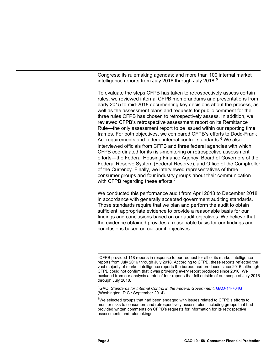Congress; its rulemaking agendas; and more than 100 internal market intelligence reports from July 2016 through July 2018.<sup>[5](#page-7-1)</sup>

To evaluate the steps CFPB has taken to retrospectively assess certain rules, we reviewed internal CFPB memorandums and presentations from early 2015 to mid-2018 documenting key decisions about the process, as well as the assessment plans and requests for public comment for the three rules CFPB has chosen to retrospectively assess. In addition, we reviewed CFPB's retrospective assessment report on its Remittance Rule—the only assessment report to be issued within our reporting time frames. For both objectives, we compared CFPB's efforts to Dodd-Frank Act requirements and federal internal control standards.<sup>[6](#page-7-2)</sup> We also interviewed officials from CFPB and three federal agencies with which CFPB coordinated for its risk-monitoring or retrospective assessment efforts—the Federal Housing Finance Agency, Board of Governors of the Federal Reserve System (Federal Reserve), and Office of the Comptroller of the Currency. Finally, we interviewed representatives of three consumer groups and four industry groups about their communication with CFPB regarding these efforts.<sup>[7](#page-7-3)</sup>

<span id="page-6-0"></span>We conducted this performance audit from April 2018 to December 2018 in accordance with generally accepted government auditing standards. Those standards require that we plan and perform the audit to obtain sufficient, appropriate evidence to provide a reasonable basis for our findings and conclusions based on our audit objectives. We believe that the evidence obtained provides a reasonable basis for our findings and conclusions based on our audit objectives.

<span id="page-6-2"></span>6 GAO, *Standards for Internal Control in the Federal Government*[, GAO-14-704G](https://www.gao.gov/products/GAO-14-704G)  (Washington, D.C.: September 2014).

<span id="page-6-1"></span><sup>&</sup>lt;sup>5</sup>CFPB provided 118 reports in response to our request for all of its market intelligence reports from July 2016 through July 2018. According to CFPB, these reports reflected the vast majority of market intelligence reports the bureau had produced since 2016, although CFPB could not confirm that it was providing every report produced since 2016. We excluded from our analysis a total of four reports that fell outside of our scope of July 2016 through July 2018.

 $7$ We selected groups that had been engaged with issues related to CFPB's efforts to monitor risks to consumers and retrospectively assess rules, including groups that had provided written comments on CFPB's requests for information for its retrospective assessments and rulemakings.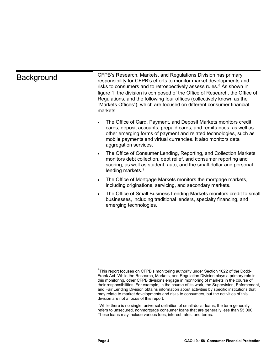<span id="page-7-0"></span>

| <b>Background</b> | CFPB's Research, Markets, and Regulations Division has primary<br>responsibility for CFPB's efforts to monitor market developments and<br>risks to consumers and to retrospectively assess rules. <sup>8</sup> As shown in<br>figure 1, the division is composed of the Office of Research, the Office of<br>Regulations, and the following four offices (collectively known as the<br>"Markets Offices"), which are focused on different consumer financial<br>markets: |
|-------------------|--------------------------------------------------------------------------------------------------------------------------------------------------------------------------------------------------------------------------------------------------------------------------------------------------------------------------------------------------------------------------------------------------------------------------------------------------------------------------|
|                   | The Office of Card, Payment, and Deposit Markets monitors credit<br>$\bullet$<br>cards, deposit accounts, prepaid cards, and remittances, as well as<br>other emerging forms of payment and related technologies, such as<br>mobile payments and virtual currencies. It also monitors data<br>aggregation services.                                                                                                                                                      |
|                   | The Office of Consumer Lending, Reporting, and Collection Markets<br>$\bullet$<br>monitors debt collection, debt relief, and consumer reporting and<br>scoring, as well as student, auto, and the small-dollar and personal<br>lending markets. <sup>9</sup>                                                                                                                                                                                                             |

- The Office of Mortgage Markets monitors the mortgage markets, including originations, servicing, and secondary markets.
- The Office of Small Business Lending Markets monitors credit to small businesses, including traditional lenders, specialty financing, and emerging technologies.

<span id="page-7-1"></span> $^8$ This report focuses on CFPB's monitoring authority under Section 1022 of the Dodd-Frank Act. While the Research, Markets, and Regulation Division plays a primary role in this monitoring, other CFPB divisions engage in monitoring of markets in the course of their responsibilities. For example, in the course of its work, the Supervision, Enforcement, and Fair Lending Division obtains information about activities by specific institutions that may relate to market developments and risks to consumers, but the activities of this division are not a focus of this report.

<span id="page-7-3"></span><span id="page-7-2"></span><sup>&</sup>lt;sup>9</sup>While there is no single, universal definition of small-dollar loans, the term generally refers to unsecured, nonmortgage consumer loans that are generally less than \$5,000. These loans may include various fees, interest rates, and terms.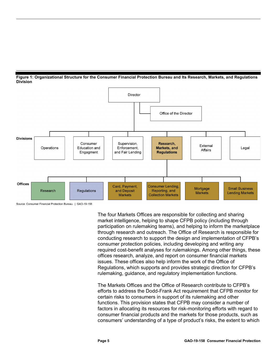<span id="page-8-0"></span>



<span id="page-8-1"></span>Source: Consumer Financial Protection Bureau. | GAO-19-158

The four Markets Offices are responsible for collecting and sharing market intelligence, helping to shape CFPB policy (including through participation on rulemaking teams), and helping to inform the marketplace through research and outreach. The Office of Research is responsible for conducting research to support the design and implementation of CFPB's consumer protection policies, including developing and writing any required cost-benefit analyses for rulemakings. Among other things, these offices research, analyze, and report on consumer financial markets issues. These offices also help inform the work of the Office of Regulations, which supports and provides strategic direction for CFPB's rulemaking, guidance, and regulatory implementation functions.

<span id="page-8-2"></span>The Markets Offices and the Office of Research contribute to CFPB's efforts to address the Dodd-Frank Act requirement that CFPB monitor for certain risks to consumers in support of its rulemaking and other functions. This provision states that CFPB may consider a number of factors in allocating its resources for risk-monitoring efforts with regard to consumer financial products and the markets for those products, such as consumers' understanding of a type of product's risks, the extent to which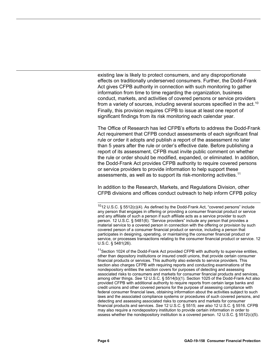existing law is likely to protect consumers, and any disproportionate effects on traditionally underserved consumers. Further, the Dodd-Frank Act gives CFPB authority in connection with such monitoring to gather information from time to time regarding the organization, business conduct, markets, and activities of covered persons or service providers from a variety of sources, including several sources specified in the act.<sup>[10](#page-10-1)</sup> Finally, this provision requires CFPB to issue at least one report of significant findings from its risk monitoring each calendar year.

The Office of Research has led CFPB's efforts to address the Dodd-Frank Act requirement that CFPB conduct assessments of each significant final rule or order it adopts and publish a report of the assessment no later than 5 years after the rule or order's effective date. Before publishing a report of its assessment, CFPB must invite public comment on whether the rule or order should be modified, expanded, or eliminated. In addition, the Dodd-Frank Act provides CFPB authority to require covered persons or service providers to provide information to help support these assessments, as well as to support its risk-monitoring activities.<sup>[11](#page-10-2)</sup>

In addition to the Research, Markets, and Regulations Division, other CFPB divisions and offices conduct outreach to help inform CFPB policy

<sup>11</sup> Section 1024 of the Dodd-Frank Act provided CFPB with authority to supervise entities, other than depository institutions or insured credit unions, that provide certain consumer financial products or services. This authority also extends to service providers. This section also charges CFPB with requiring reports and conducting examinations of the nondepository entities the section covers for purposes of detecting and assessing associated risks to consumers and markets for consumer financial products and services, among other things. *See* 12 U.S.C. § 5514(b)(1). Section 1025 of the Dodd-Frank Act also provided CFPB with additional authority to require reports from certain large banks and credit unions and other covered persons for the purpose of assessing compliance with federal consumer financial laws, obtaining information about the activities subject to such laws and the associated compliance systems or procedures of such covered persons, and detecting and assessing associated risks to consumers and markets for consumer financial products and services. *See* 12 U.S.C. § 5515; *see also* 12 U.S.C. § 5516. CFPB may also require a nondepository institution to provide certain information in order to assess whether the nondepository institution is a covered person. 12 U.S.C. § 5512(c)(5).

 $1012$  U.S.C. § 5512(c)(4). As defined by the Dodd-Frank Act, "covered persons" include any person that engages in offering or providing a consumer financial product or service and any affiliate of such a person if such affiliate acts as a service provider to such person. 12 U.S.C. § 5481(6). "Service providers" include any person that provides a material service to a covered person in connection with the offering or provision by such covered person of a consumer financial product or service, including a person that participates in designing, operating, or maintaining the consumer financial product or service, or processes transactions relating to the consumer financial product or service. 12 U.S.C. § 5481(26).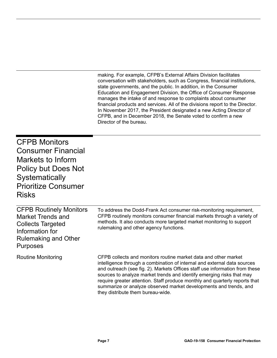making. For example, CFPB's External Affairs Division facilitates conversation with stakeholders, such as Congress, financial institutions, state governments, and the public. In addition, in the Consumer Education and Engagement Division, the Office of Consumer Response manages the intake of and response to complaints about consumer financial products and services. All of the divisions report to the Director. In November 2017, the President designated a new Acting Director of CFPB, and in December 2018, the Senate voted to confirm a new Director of the bureau.

summarize or analyze observed market developments and trends, and

<span id="page-10-0"></span>CFPB Monitors Consumer Financial Markets to Inform Policy but Does Not **Systematically** Prioritize Consumer Risks

<span id="page-10-2"></span><span id="page-10-1"></span>

| <b>CFPB Routinely Monitors</b><br><b>Market Trends and</b><br><b>Collects Targeted</b><br>Information for<br><b>Rulemaking and Other</b><br><b>Purposes</b> | To address the Dodd-Frank Act consumer risk-monitoring requirement,<br>CFPB routinely monitors consumer financial markets through a variety of<br>methods. It also conducts more targeted market monitoring to support<br>rulemaking and other agency functions.                                                                                                                   |
|-------------------------------------------------------------------------------------------------------------------------------------------------------------|------------------------------------------------------------------------------------------------------------------------------------------------------------------------------------------------------------------------------------------------------------------------------------------------------------------------------------------------------------------------------------|
| Routine Monitoring                                                                                                                                          | CFPB collects and monitors routine market data and other market<br>intelligence through a combination of internal and external data sources<br>and outreach (see fig. 2). Markets Offices staff use information from these<br>sources to analyze market trends and identify emerging risks that may<br>require greater attention. Staff produce monthly and quarterly reports that |

they distribute them bureau-wide.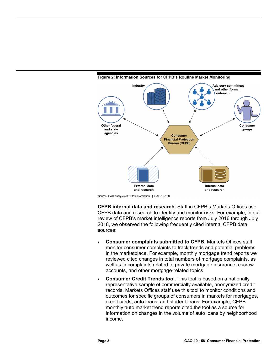

#### <span id="page-11-0"></span>**Figure 2: Information Sources for CFPB's Routine Market Monitoring**

Source: GAO analysis of CFPB information. | GAO-19-158

**CFPB internal data and research.** Staff in CFPB's Markets Offices use CFPB data and research to identify and monitor risks. For example, in our review of CFPB's market intelligence reports from July 2016 through July 2018, we observed the following frequently cited internal CFPB data sources:

- **Consumer complaints submitted to CFPB.** Markets Offices staff monitor consumer complaints to track trends and potential problems in the marketplace. For example, monthly mortgage trend reports we reviewed cited changes in total numbers of mortgage complaints, as well as in complaints related to private mortgage insurance, escrow accounts, and other mortgage-related topics.
- **Consumer Credit Trends tool.** This tool is based on a nationally representative sample of commercially available, anonymized credit records. Markets Offices staff use this tool to monitor conditions and outcomes for specific groups of consumers in markets for mortgages, credit cards, auto loans, and student loans. For example, CFPB monthly auto market trend reports cited the tool as a source for information on changes in the volume of auto loans by neighborhood income.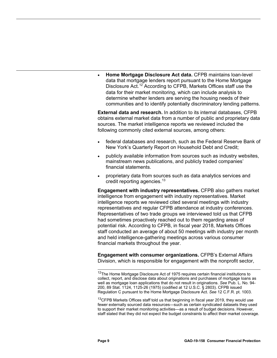• **Home Mortgage Disclosure Act data.** CFPB maintains loan-level data that mortgage lenders report pursuant to the Home Mortgage Disclosure Act.<sup>[12](#page-13-0)</sup> According to CFPB, Markets Offices staff use the data for their market monitoring, which can include analysis to determine whether lenders are serving the housing needs of their communities and to identify potentially discriminatory lending patterns.

**External data and research.** In addition to its internal databases, CFPB obtains external market data from a number of public and proprietary data sources. The market intelligence reports we reviewed included the following commonly cited external sources, among others:

- federal databases and research, such as the Federal Reserve Bank of New York's Quarterly Report on Household Debt and Credit;
- publicly available information from sources such as industry websites, mainstream news publications, and publicly traded companies' financial statements.
- proprietary data from sources such as data analytics services and credit reporting agencies.[13](#page-13-1)

**Engagement with industry representatives.** CFPB also gathers market intelligence from engagement with industry representatives. Market intelligence reports we reviewed cited several meetings with industry representatives and regular CFPB attendance at industry conferences. Representatives of two trade groups we interviewed told us that CFPB had sometimes proactively reached out to them regarding areas of potential risk. According to CFPB, in fiscal year 2018, Markets Offices staff conducted an average of about 50 meetings with industry per month and held intelligence-gathering meetings across various consumer financial markets throughout the year.

**Engagement with consumer organizations.** CFPB's External Affairs Division, which is responsible for engagement with the nonprofit sector,

 $13$ CFPB Markets Offices staff told us that beginning in fiscal year 2019, they would use fewer externally sourced data resources—such as certain syndicated datasets they used to support their market monitoring activities—as a result of budget decisions. However, staff stated that they did not expect the budget constraints to affect their market coverage.

<sup>&</sup>lt;sup>12</sup>The Home Mortgage Disclosure Act of 1975 requires certain financial institutions to collect, report, and disclose data about originations and purchases of mortgage loans as well as mortgage loan applications that do not result in originations. *See* Pub. L. No. 94- 200, 89 Stat. 1124, 1125-26 (1975) (codified at 12 U.S.C. § 2803). CFPB issued Regulation C pursuant to the Home Mortgage Disclosure Act. *See* 12 C.F.R. pt. 1003.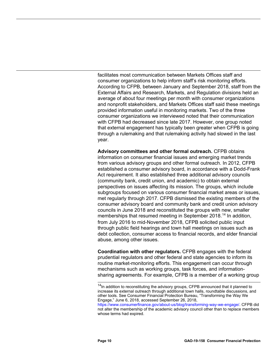facilitates most communication between Markets Offices staff and consumer organizations to help inform staff's risk monitoring efforts. According to CFPB, between January and September 2018, staff from the External Affairs and Research, Markets, and Regulation divisions held an average of about four meetings per month with consumer organizations and nonprofit stakeholders, and Markets Offices staff said these meetings provided information useful in monitoring markets. Two of the three consumer organizations we interviewed noted that their communication with CFPB had decreased since late 2017. However, one group noted that external engagement has typically been greater when CFPB is going through a rulemaking and that rulemaking activity had slowed in the last year.

**Advisory committees and other formal outreach.** CFPB obtains information on consumer financial issues and emerging market trends from various advisory groups and other formal outreach. In 2012, CFPB established a consumer advisory board, in accordance with a Dodd-Frank Act requirement. It also established three additional advisory councils (community bank, credit union, and academic) to obtain external perspectives on issues affecting its mission. The groups, which include subgroups focused on various consumer financial market areas or issues, met regularly through 2017. CFPB dismissed the existing members of the consumer advisory board and community bank and credit union advisory councils in June 2018 and reconstituted the groups with new, smaller memberships that resumed meeting in September 2018.<sup>[14](#page-14-0)</sup> In addition, from July 2016 to mid-November 2018, CFPB solicited public input through public field hearings and town hall meetings on issues such as debt collection, consumer access to financial records, and elder financial abuse, among other issues.

**Coordination with other regulators.** CFPB engages with the federal prudential regulators and other federal and state agencies to inform its routine market-monitoring efforts. This engagement can occur through mechanisms such as working groups, task forces, and informationsharing agreements. For example, CFPB is a member of a working group

<span id="page-13-0"></span> $14$ In addition to reconstituting the advisory groups, CFPB announced that it planned to increase its external outreach through additional town halls, roundtable discussions, and other tools. See Consumer Financial Protection Bureau, "Transforming the Way We Engage," June 6, 2018, accessed September 26, 2018,

<span id="page-13-1"></span>[https://www.consumerfinance.gov/about-us/blog/transforming-way-we-engage/.](https://www.consumerfinance.gov/about-us/blog/transforming-way-we-engage/) CFPB did not alter the membership of the academic advisory council other than to replace members whose terms had expired.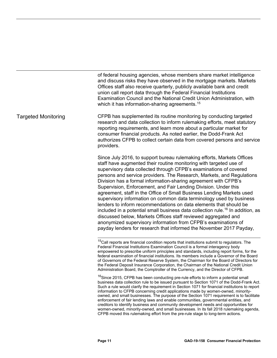of federal housing agencies, whose members share market intelligence and discuss risks they have observed in the mortgage markets. Markets Offices staff also receive quarterly, publicly available bank and credit union call report data through the Federal Financial Institutions Examination Council and the National Credit Union Administration, with which it has information-sharing agreements.<sup>[15](#page-15-0)</sup>

CFPB has supplemented its routine monitoring by conducting targeted research and data collection to inform rulemaking efforts, meet statutory reporting requirements, and learn more about a particular market for consumer financial products. As noted earlier, the Dodd-Frank Act authorizes CFPB to collect certain data from covered persons and service providers. Targeted Monitoring

> Since July 2016, to support bureau rulemaking efforts, Markets Offices staff have augmented their routine monitoring with targeted use of supervisory data collected through CFPB's examinations of covered persons and service providers. The Research, Markets, and Regulations Division has a formal information-sharing agreement with CFPB's Supervision, Enforcement, and Fair Lending Division. Under this agreement, staff in the Office of Small Business Lending Markets used supervisory information on common data terminology used by business lenders to inform recommendations on data elements that should be included in a potential small business data collection rule.[16](#page-15-1) In addition, as discussed below, Markets Offices staff reviewed aggregated and anonymized supervisory information from CFPB's examinations of payday lenders for research that informed the November 2017 Payday,

<sup>&</sup>lt;sup>15</sup>Call reports are financial condition reports that institutions submit to regulators. The Federal Financial Institutions Examination Council is a formal interagency body empowered to prescribe uniform principles and standards, including report forms, for the federal examination of financial institutions. Its members include a Governor of the Board of Governors of the Federal Reserve System, the Chairman for the Board of Directors for the Federal Deposit Insurance Corporation, the Chairman of the National Credit Union Administration Board, the Comptroller of the Currency, and the Director of CFPB.

<span id="page-14-0"></span><sup>&</sup>lt;sup>16</sup>Since 2015, CFPB has been conducting pre-rule efforts to inform a potential small business data collection rule to be issued pursuant to Section 1071 of the Dodd-Frank Act. Such a rule would clarify the requirement in Section 1071 for financial institutions to report information to CFPB concerning credit applications made by women-owned, minorityowned, and small businesses. The purpose of the Section 1071 requirement is to facilitate enforcement of fair lending laws and enable communities, governmental entities, and creditors to identify business and community development needs and opportunities for women-owned, minority-owned, and small businesses. In its fall 2018 rulemaking agenda, CFPB moved this rulemaking effort from the pre-rule stage to long-term actions.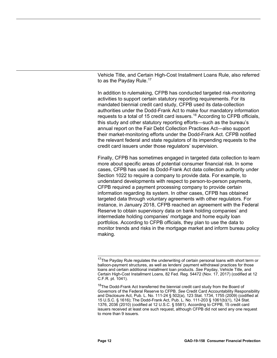Vehicle Title, and Certain High-Cost Installment Loans Rule, also referred to as the Payday Rule.<sup>[17](#page-16-0)</sup>

In addition to rulemaking, CFPB has conducted targeted risk-monitoring activities to support certain statutory reporting requirements. For its mandated biennial credit card study, CFPB used its data-collection authorities under the Dodd-Frank Act to make four mandatory information requests to a total of 15 credit card issuers.<sup>[18](#page-16-1)</sup> According to CFPB officials, this study and other statutory reporting efforts—such as the bureau's annual report on the Fair Debt Collection Practices Act—also support their market-monitoring efforts under the Dodd-Frank Act. CFPB notified the relevant federal and state regulators of its impending requests to the credit card issuers under those regulators' supervision.

Finally, CFPB has sometimes engaged in targeted data collection to learn more about specific areas of potential consumer financial risk. In some cases, CFPB has used its Dodd-Frank Act data collection authority under Section 1022 to require a company to provide data. For example, to understand developments with respect to person-to-person payments, CFPB required a payment processing company to provide certain information regarding its system. In other cases, CFPB has obtained targeted data through voluntary agreements with other regulators. For instance, in January 2018, CFPB reached an agreement with the Federal Reserve to obtain supervisory data on bank holding companies' and intermediate holding companies' mortgage and home equity loan portfolios. According to CFPB officials, they plan to use the data to monitor trends and risks in the mortgage market and inform bureau policy making.

<span id="page-15-0"></span><sup>&</sup>lt;sup>17</sup>The Pavdav Rule regulates the underwriting of certain personal loans with short term or balloon-payment structures, as well as lenders' payment withdrawal practices for those loans and certain additional installment loan products. *See* Payday, Vehicle Title, and Certain High-Cost Installment Loans, 82 Fed. Reg. 54472 (Nov. 17, 2017) (codified at 12 C.F.R. pt. 1041).

<span id="page-15-1"></span><sup>&</sup>lt;sup>18</sup>The Dodd-Frank Act transferred the biennial credit card study from the Board of Governors of the Federal Reserve to CFPB. *See* Credit Card Accountability Responsibility and Disclosure Act, Pub. L. No. 111-24 § 502(a), 123 Stat. 1734, 1755 (2009) (codified at 15 U.S.C. § 1616); The Dodd-Frank Act, Pub. L. No. 111-203 § 1061(b)(1), 124 Stat. 1376, 2036 (2010) (codified at 12 U.S.C. § 5581). According to CFPB, 15 credit card issuers received at least one such request, although CFPB did not send any one request to more than 9 issuers.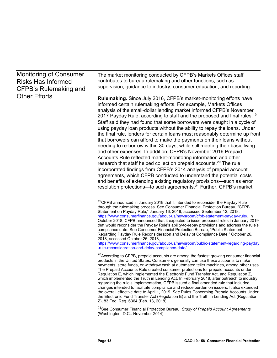# Monitoring of Consumer Risks Has Informed CFPB's Rulemaking and Other Efforts

The market monitoring conducted by CFPB's Markets Offices staff contributes to bureau rulemaking and other functions, such as supervision, guidance to industry, consumer education, and reporting.

**Rulemaking.** Since July 2016, CFPB's market-monitoring efforts have informed certain rulemaking efforts. For example, Markets Offices analysis of the small-dollar lending market informed CFPB's November 2017 Payday Rule, according to staff and the proposed and final rules.<sup>[19](#page-17-0)</sup> Staff said they had found that some borrowers were caught in a cycle of using payday loan products without the ability to repay the loans. Under the final rule, lenders for certain loans must reasonably determine up front that borrowers can afford to make the payments on their loans without needing to re-borrow within 30 days, while still meeting their basic living and other expenses. In addition, CFPB's November 2016 Prepaid Accounts Rule reflected market-monitoring information and other research that staff helped collect on prepaid accounts.<sup>[20](#page-17-1)</sup> The rule incorporated findings from CFPB's 2014 analysis of prepaid account agreements, which CFPB conducted to understand the potential costs and benefits of extending existing regulatory provisions—such as error resolution protections—to such agreements.<sup>[21](#page-17-2)</sup> Further, CFPB's market

[https://www.consumerfinance.gov/about-us/newsroom/public-statement-regarding-payday](https://www.consumerfinance.gov/about-us/newsroom/public-statement-regarding-payday-rule-reconsideration-and-delay-compliance-date/) [-rule-reconsideration-and-delay-compliance-date/.](https://www.consumerfinance.gov/about-us/newsroom/public-statement-regarding-payday-rule-reconsideration-and-delay-compliance-date/)

<span id="page-16-1"></span>21See Consumer Financial Protection Bureau, *Study of Prepaid Account Agreements* (Washington, D.C.: November 2014).

<sup>&</sup>lt;sup>19</sup>CFPB announced in January 2018 that it intended to reconsider the Payday Rule through the rulemaking process. See Consumer Financial Protection Bureau, "CFPB Statement on Payday Rule," January 16, 2018, accessed September 12, 2018, [https://www.consumerfinance.gov/about-us/newsroom/cfpb-statement-payday-rule/.](https://www.consumerfinance.gov/about-us/newsroom/cfpb-statement-payday-rule/) In October 2018, CFPB announced that it expected to issue proposed rules in January 2019 that would reconsider the Payday Rule's ability-to-repay provisions and address the rule's compliance date. See Consumer Financial Protection Bureau, "Public Statement Regarding Payday Rule Reconsideration and Delay of Compliance Date," October 26, 2018, accessed October 26, 2018,

<span id="page-16-0"></span><sup>&</sup>lt;sup>20</sup>According to CFPB, prepaid accounts are among the fastest growing consumer financial products in the United States. Consumers generally can use these accounts to make payments, store funds, or withdraw cash at automated teller machines, among other uses. The Prepaid Accounts Rule created consumer protections for prepaid accounts under Regulation E, which implemented the Electronic Fund Transfer Act, and Regulation Z, which implemented the Truth in Lending Act. In February 2018, after outreach to industry regarding the rule's implementation, CFPB issued a final amended rule that included changes intended to facilitate compliance and reduce burden on issuers. It also extended the overall effective date to April 1, 2019. *See* Rules Concerning Prepaid Accounts Under the Electronic Fund Transfer Act (Regulation E) and the Truth in Lending Act (Regulation Z), 83 Fed. Reg. 6364 (Feb. 13, 2018).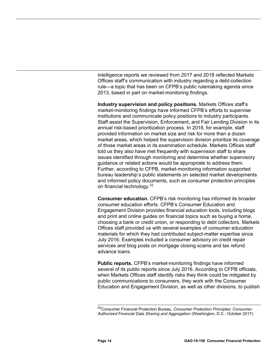intelligence reports we reviewed from 2017 and 2018 reflected Markets Offices staff's communication with industry regarding a debt-collection rule—a topic that has been on CFPB's public rulemaking agenda since 2013, based in part on market-monitoring findings.

**Industry supervision and policy positions.** Markets Offices staff's market-monitoring findings have informed CFPB's efforts to supervise institutions and communicate policy positions to industry participants. Staff assist the Supervision, Enforcement, and Fair Lending Division in its annual risk-based prioritization process. In 2018, for example, staff provided information on market size and risk for more than a dozen market areas, which helped the supervision division prioritize its coverage of those market areas in its examination schedule. Markets Offices staff told us they also have met frequently with supervision staff to share issues identified through monitoring and determine whether supervisory guidance or related actions would be appropriate to address them. Further, according to CFPB, market-monitoring information supported bureau leadership's public statements on selected market developments and informed policy documents, such as consumer protection principles on financial technology.<sup>[22](#page-18-0)</sup>

<span id="page-17-0"></span>**Consumer education.** CFPB's risk monitoring has informed its broader consumer education efforts. CFPB's Consumer Education and Engagement Division provides financial education tools, including blogs and print and online guides on financial topics such as buying a home, choosing a bank or credit union, or responding to debt collectors. Markets Offices staff provided us with several examples of consumer education materials for which they had contributed subject-matter expertise since July 2016. Examples included a consumer advisory on credit repair services and blog posts on mortgage closing scams and tax refund advance loans.

<span id="page-17-1"></span>**Public reports.** CFPB's market-monitoring findings have informed several of its public reports since July 2016. According to CFPB officials, when Markets Offices staff identify risks they think could be mitigated by public communications to consumers, they work with the Consumer Education and Engagement Division, as well as other divisions, to publish

<span id="page-17-2"></span> <sup>22</sup>Consumer Financial Protection Bureau, *Consumer Protection Principles: Consumer-Authorized Financial Data Sharing and Aggregation* (Washington, D.C.: October 2017).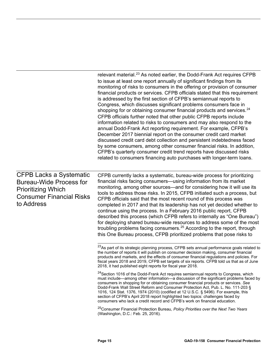<span id="page-18-0"></span>

|                                                                                                                                                | relevant material. <sup>23</sup> As noted earlier, the Dodd-Frank Act requires CFPB<br>to issue at least one report annually of significant findings from its<br>monitoring of risks to consumers in the offering or provision of consumer<br>financial products or services. CFPB officials stated that this requirement<br>is addressed by the first section of CFPB's semiannual reports to<br>Congress, which discusses significant problems consumers face in<br>shopping for or obtaining consumer financial products and services. <sup>24</sup><br>CFPB officials further noted that other public CFPB reports include<br>information related to risks to consumers and may also respond to the<br>annual Dodd-Frank Act reporting requirement. For example, CFPB's<br>December 2017 biennial report on the consumer credit card market<br>discussed credit card debt collection and persistent indebtedness faced<br>by some consumers, among other consumer financial risks. In addition,<br>CFPB's quarterly consumer credit trend reports have discussed risks<br>related to consumers financing auto purchases with longer-term loans. |
|------------------------------------------------------------------------------------------------------------------------------------------------|-----------------------------------------------------------------------------------------------------------------------------------------------------------------------------------------------------------------------------------------------------------------------------------------------------------------------------------------------------------------------------------------------------------------------------------------------------------------------------------------------------------------------------------------------------------------------------------------------------------------------------------------------------------------------------------------------------------------------------------------------------------------------------------------------------------------------------------------------------------------------------------------------------------------------------------------------------------------------------------------------------------------------------------------------------------------------------------------------------------------------------------------------------|
| <b>CFPB Lacks a Systematic</b><br><b>Bureau-Wide Process for</b><br><b>Prioritizing Which</b><br><b>Consumer Financial Risks</b><br>to Address | CFPB currently lacks a systematic, bureau-wide process for prioritizing<br>financial risks facing consumers—using information from its market<br>monitoring, among other sources—and for considering how it will use its<br>tools to address those risks. In 2015, CFPB initiated such a process, but<br>CFPB officials said that the most recent round of this process was<br>completed in 2017 and that its leadership has not yet decided whether to<br>continue using the process. In a February 2016 public report, CFPB<br>described this process (which CFPB refers to internally as "One Bureau")<br>for deploying shared bureau-wide resources to address some of the most<br>troubling problems facing consumers. <sup>25</sup> According to the report, through<br>this One Bureau process, CFPB prioritized problems that pose risks to                                                                                                                                                                                                                                                                                                 |
|                                                                                                                                                | <sup>23</sup> As part of its strategic planning process, CFPB sets annual performance goals related to<br>the number of reports it will publish on consumer decision making, consumer financial<br>products and markets, and the effects of consumer financial regulations and policies. For<br>fiscal years 2018 and 2019, CFPB set targets of six reports. CFPB told us that as of June<br>2018, it had published eight reports for fiscal year 2018.                                                                                                                                                                                                                                                                                                                                                                                                                                                                                                                                                                                                                                                                                             |
|                                                                                                                                                | <sup>24</sup> Section 1016 of the Dodd-Frank Act requires semiannual reports to Congress, which<br>must include—among other information—a discussion of the significant problems faced by<br>consumers in shopping for or obtaining consumer financial products or services. See<br>Dodd-Frank Wall Street Reform and Consumer Protection Act, Pub. L. No. 111-203 §<br>1016, 124 Stat. 1376, 1974 (2010) (codified at 12 U.S.C. § 5496). For example, this<br>section of CFPB's April 2018 report highlighted two topics: challenges faced by<br>consumers who lack a credit record and CFPB's work on financial education.                                                                                                                                                                                                                                                                                                                                                                                                                                                                                                                        |
|                                                                                                                                                | <sup>25</sup> Consumer Financial Protection Bureau, Policy Priorities over the Next Two Years<br>(Washington, D.C.: Feb. 25, 2016).                                                                                                                                                                                                                                                                                                                                                                                                                                                                                                                                                                                                                                                                                                                                                                                                                                                                                                                                                                                                                 |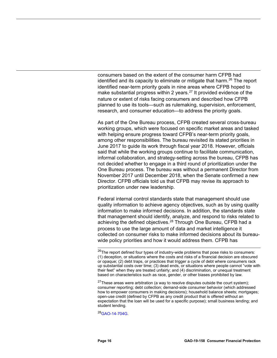consumers based on the extent of the consumer harm CFPB had identified and its capacity to eliminate or mitigate that harm.<sup>[26](#page-20-0)</sup> The report identified near-term priority goals in nine areas where CFPB hoped to make substantial progress within 2 years. $^{27}$  $^{27}$  $^{27}$  It provided evidence of the nature or extent of risks facing consumers and described how CFPB planned to use its tools—such as rulemaking, supervision, enforcement, research, and consumer education—to address the priority goals.

As part of the One Bureau process, CFPB created several cross-bureau working groups, which were focused on specific market areas and tasked with helping ensure progress toward CFPB's near-term priority goals, among other responsibilities. The bureau revisited its stated priorities in June 2017 to guide its work through fiscal year 2018. However, officials said that while the working groups continue to facilitate communication, informal collaboration, and strategy-setting across the bureau, CFPB has not decided whether to engage in a third round of prioritization under the One Bureau process. The bureau was without a permanent Director from November 2017 until December 2018, when the Senate confirmed a new Director. CFPB officials told us that CFPB may revise its approach to prioritization under new leadership.

Federal internal control standards state that management should use quality information to achieve agency objectives, such as by using quality information to make informed decisions. In addition, the standards state that management should identify, analyze, and respond to risks related to achieving the defined objectives.<sup>[28](#page-20-2)</sup> Through One Bureau, CFPB had a process to use the large amount of data and market intelligence it collected on consumer risks to make informed decisions about its bureauwide policy priorities and how it would address them. CFPB has

<span id="page-19-2"></span><sup>28</sup>GAO-14-704G.

<span id="page-19-0"></span> $26$ The report defined four types of industry-wide problems that pose risks to consumers: (1) deception, or situations where the costs and risks of a financial decision are obscured or opaque; (2) debt traps, or practices that trigger a cycle of debt where consumers rack up substantial costs over time; (3) dead ends, or situations where people cannot "vote with their feet" when they are treated unfairly; and (4) discrimination, or unequal treatment based on characteristics such as race, gender, or other biases prohibited by law.

<span id="page-19-1"></span> $27$ These areas were arbitration (a way to resolve disputes outside the court system); consumer reporting; debt collection; demand-side consumer behavior (which addressed how to empower consumers in making decisions); household balance sheets; mortgages; open-use credit (defined by CFPB as any credit product that is offered without an expectation that the loan will be used for a specific purpose); small business lending; and student lending.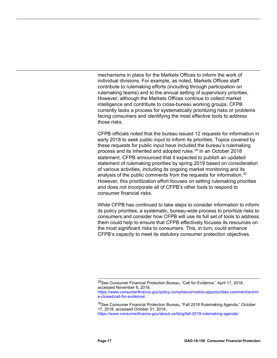mechanisms in place for the Markets Offices to inform the work of individual divisions. For example, as noted, Markets Offices staff contribute to rulemaking efforts (including through participation on rulemaking teams) and to the annual setting of supervisory priorities. However, although the Markets Offices continue to collect market intelligence and contribute to cross-bureau working groups, CFPB currently lacks a process for systematically prioritizing risks or problems facing consumers and identifying the most effective tools to address those risks.

CFPB officials noted that the bureau issued 12 requests for information in early 2018 to seek public input to inform its priorities. Topics covered by these requests for public input have included the bureau's rulemaking process and its inherited and adopted rules.<sup>[29](#page-21-1)</sup> In an October 2018 statement, CFPB announced that it expected to publish an updated statement of rulemaking priorities by spring 2019 based on consideration of various activities, including its ongoing market monitoring and its analysis of the public comments from the requests for information.<sup>[30](#page-21-2)</sup> However, this prioritization effort focuses on setting rulemaking priorities and does not incorporate all of CFPB's other tools to respond to consumer financial risks.

While CFPB has continued to take steps to consider information to inform its policy priorities, a systematic, bureau-wide process to prioritize risks to consumers and consider how CFPB will use its full set of tools to address them could help to ensure that CFPB effectively focuses its resources on the most significant risks to consumers. This, in turn, could enhance CFPB's capacity to meet its statutory consumer protection objectives.

<span id="page-20-1"></span><span id="page-20-0"></span> <sup>29</sup>See Consumer Financial Protection Bureau, "Call for Evidence," April 17, 2018, accessed November 6, 2018,

[https://www.consumerfinance.gov/policy-compliance/notice-opportunities-comment/archiv](https://www.consumerfinance.gov/policy-compliance/notice-opportunities-comment/archive-closed/call-for-evidence/) [e-closed/call-for-evidence/.](https://www.consumerfinance.gov/policy-compliance/notice-opportunities-comment/archive-closed/call-for-evidence/)

<sup>&</sup>lt;sup>30</sup>See Consumer Financial Protection Bureau, "Fall 2018 Rulemaking Agenda," October 17, 2018, accessed October 31, 2018,

<span id="page-20-2"></span>[https://www.consumerfinance.gov/about-us/blog/fall-2018-rulemaking-agenda/.](https://www.consumerfinance.gov/about-us/blog/fall-2018-rulemaking-agenda/)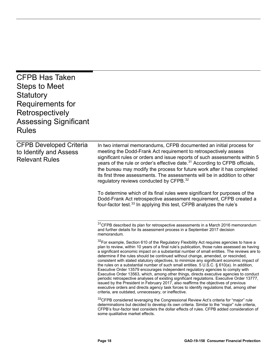<span id="page-21-2"></span><span id="page-21-1"></span><span id="page-21-0"></span>

| <b>CFPB Has Taken</b><br><b>Steps to Meet</b><br>Statutory<br>Requirements for<br>Retrospectively<br><b>Assessing Significant</b><br><b>Rules</b> |                                                                                                                                                                                                                                                                                                                                                                                                                                                                                                                                                                                                                                                                                                                                                                                                                                                                                                                                                                                                                                                                                                                |
|---------------------------------------------------------------------------------------------------------------------------------------------------|----------------------------------------------------------------------------------------------------------------------------------------------------------------------------------------------------------------------------------------------------------------------------------------------------------------------------------------------------------------------------------------------------------------------------------------------------------------------------------------------------------------------------------------------------------------------------------------------------------------------------------------------------------------------------------------------------------------------------------------------------------------------------------------------------------------------------------------------------------------------------------------------------------------------------------------------------------------------------------------------------------------------------------------------------------------------------------------------------------------|
| <b>CFPB Developed Criteria</b><br>to Identify and Assess<br><b>Relevant Rules</b>                                                                 | In two internal memorandums, CFPB documented an initial process for<br>meeting the Dodd-Frank Act requirement to retrospectively assess<br>significant rules or orders and issue reports of such assessments within 5<br>years of the rule or order's effective date. <sup>31</sup> According to CFPB officials,<br>the bureau may modify the process for future work after it has completed<br>its first three assessments. The assessments will be in addition to other<br>regulatory reviews conducted by CFPB. <sup>32</sup><br>To determine which of its final rules were significant for purposes of the<br>Dodd-Frank Act retrospective assessment requirement, CFPB created a<br>four-factor test. <sup>33</sup> In applying this test, CFPB analyzes the rule's                                                                                                                                                                                                                                                                                                                                       |
|                                                                                                                                                   | <sup>31</sup> CFPB described its plan for retrospective assessments in a March 2016 memorandum<br>and further details for its assessment process in a September 2017 decision<br>memorandum.                                                                                                                                                                                                                                                                                                                                                                                                                                                                                                                                                                                                                                                                                                                                                                                                                                                                                                                   |
|                                                                                                                                                   | <sup>32</sup> For example, Section 610 of the Regulatory Flexibility Act requires agencies to have a<br>plan to review, within 10 years of a final rule's publication, those rules assessed as having<br>a significant economic impact on a substantial number of small entities. The reviews are to<br>determine if the rules should be continued without change, amended, or rescinded,<br>consistent with stated statutory objectives, to minimize any significant economic impact of<br>the rules on a substantial number of such small entities. 5 U.S.C. § 610(a). In addition,<br>Executive Order 13579 encourages independent regulatory agencies to comply with<br>Executive Order 13563, which, among other things, directs executive agencies to conduct<br>periodic retrospective analyses of existing significant regulations. Executive Order 13777,<br>issued by the President in February 2017, also reaffirms the objectives of previous<br>executive orders and directs agency task forces to identify regulations that, among other<br>criteria, are outdated, unnecessary, or ineffective. |
|                                                                                                                                                   | <sup>33</sup> CFPB considered leveraging the Congressional Review Act's criteria for "major" rule<br>determinations but decided to develop its own criteria. Similar to the "major" rule criteria,<br>CFPB's four-factor test considers the dollar effects of rules. CFPB added consideration of<br>some qualitative market effects.                                                                                                                                                                                                                                                                                                                                                                                                                                                                                                                                                                                                                                                                                                                                                                           |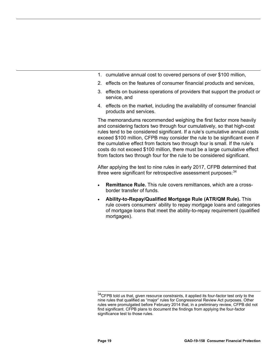- 1. cumulative annual cost to covered persons of over \$100 million,
- 2. effects on the features of consumer financial products and services,
- 3. effects on business operations of providers that support the product or service, and
- 4. effects on the market, including the availability of consumer financial products and services.

The memorandums recommended weighing the first factor more heavily and considering factors two through four cumulatively, so that high-cost rules tend to be considered significant. If a rule's cumulative annual costs exceed \$100 million, CFPB may consider the rule to be significant even if the cumulative effect from factors two through four is small. If the rule's costs do not exceed \$100 million, there must be a large cumulative effect from factors two through four for the rule to be considered significant.

After applying the test to nine rules in early 2017, CFPB determined that three were significant for retrospective assessment purposes:  $34$ 

- **Remittance Rule.** This rule covers remittances, which are a crossborder transfer of funds.
- <span id="page-22-1"></span><span id="page-22-0"></span>• **Ability-to-Repay/Qualified Mortgage Rule (ATR/QM Rule).** This rule covers consumers' ability to repay mortgage loans and categories of mortgage loans that meet the ability-to-repay requirement (qualified mortgages).

<span id="page-22-2"></span> $34$ CFPB told us that, given resource constraints, it applied its four-factor test only to the nine rules that qualified as "major" rules for Congressional Review Act purposes. Other rules were promulgated before February 2014 that, in a preliminary review, CFPB did not find significant. CFPB plans to document the findings from applying the four-factor significance test to those rules.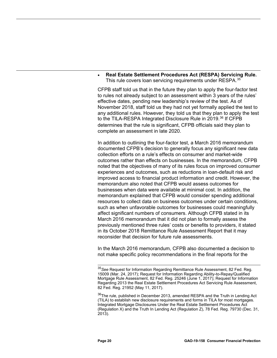• **Real Estate Settlement Procedures Act (RESPA) Servicing Rule.** This rule covers loan servicing requirements under RESPA.<sup>[35](#page-24-0)</sup>

CFPB staff told us that in the future they plan to apply the four-factor test to rules not already subject to an assessment within 3 years of the rules' effective dates, pending new leadership's review of the test. As of November 2018, staff told us they had not yet formally applied the test to any additional rules. However, they told us that they plan to apply the test to the TILA-RESPA Integrated Disclosure Rule in 2019.<sup>[36](#page-24-1)</sup> If CFPB determines that the rule is significant, CFPB officials said they plan to complete an assessment in late 2020.

In addition to outlining the four-factor test, a March 2016 memorandum documented CFPB's decision to generally focus any significant new data collection efforts on a rule's effects on consumer and market-wide outcomes rather than effects on businesses. In the memorandum, CFPB noted that the objectives of many of its rules focus on improved consumer experiences and outcomes, such as reductions in loan-default risk and improved access to financial product information and credit. However, the memorandum also noted that CFPB would assess outcomes for businesses when data were available at minimal cost. In addition, the memorandum explained that CFPB would consider spending additional resources to collect data on business outcomes under certain conditions, such as when unfavorable outcomes for businesses could meaningfully affect significant numbers of consumers. Although CFPB stated in its March 2016 memorandum that it did not plan to formally assess the previously mentioned three rules' costs or benefits to providers, it stated in its October 2018 Remittance Rule Assessment Report that it may reconsider that decision for future rule assessments.

In the March 2016 memorandum, CFPB also documented a decision to not make specific policy recommendations in the final reports for the

 <sup>35</sup>*See* Request for Information Regarding Remittance Rule Assessment, 82 Fed. Reg. 15009 (Mar. 24, 2017); Request for Information Regarding Ability-to-Repay/Qualified Mortgage Rule Assessment, 82 Fed. Reg. 25246 (June 1, 2017); Request for Information Regarding 2013 the Real Estate Settlement Procedures Act Servicing Rule Assessment, 82 Fed. Reg. 21952 (May 11, 2017).

<span id="page-23-0"></span><sup>&</sup>lt;sup>36</sup>The rule, published in December 2013, amended RESPA and the Truth in Lending Act (TILA) to establish new disclosure requirements and forms in TILA for most mortgages. Integrated Mortgage Disclosures Under the Real Estate Settlement Procedures Act (Regulation X) and the Truth In Lending Act (Regulation Z), 78 Fed. Reg. 79730 (Dec. 31, 2013).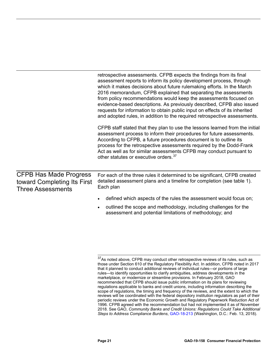|                                                                                          | retrospective assessments. CFPB expects the findings from its final<br>assessment reports to inform its policy development process, through<br>which it makes decisions about future rulemaking efforts. In the March<br>2016 memorandum, CFPB explained that separating the assessments<br>from policy recommendations would keep the assessments focused on<br>evidence-based descriptions. As previously described, CFPB also issued<br>requests for information to obtain public input on effects of its inherited<br>and adopted rules, in addition to the required retrospective assessments. |
|------------------------------------------------------------------------------------------|-----------------------------------------------------------------------------------------------------------------------------------------------------------------------------------------------------------------------------------------------------------------------------------------------------------------------------------------------------------------------------------------------------------------------------------------------------------------------------------------------------------------------------------------------------------------------------------------------------|
|                                                                                          | CFPB staff stated that they plan to use the lessons learned from the initial<br>assessment process to inform their procedures for future assessments.<br>According to CFPB, a future procedures document is to outline its<br>process for the retrospective assessments required by the Dodd-Frank<br>Act as well as for similar assessments CFPB may conduct pursuant to<br>other statutes or executive orders. <sup>37</sup>                                                                                                                                                                      |
| <b>CFPB Has Made Progress</b><br>toward Completing Its First<br><b>Three Assessments</b> | For each of the three rules it determined to be significant, CFPB created<br>detailed assessment plans and a timeline for completion (see table 1).<br>Each plan                                                                                                                                                                                                                                                                                                                                                                                                                                    |
|                                                                                          | defined which aspects of the rules the assessment would focus on;<br>outlined the scope and methodology, including challenges for the                                                                                                                                                                                                                                                                                                                                                                                                                                                               |

assessment and potential limitations of methodology; and

<span id="page-24-1"></span><span id="page-24-0"></span> $\frac{37}{4}$ S noted above, CFPB may conduct other retrospective reviews of its rules, such as those under Section 610 of the Regulatory Flexibility Act. In addition, CFPB noted in 2017 that it planned to conduct additional reviews of individual rules—or portions of large rules—to identify opportunities to clarify ambiguities, address developments in the marketplace, or modernize or streamline provisions. In February 2018, GAO recommended that CFPB should issue public information on its plans for reviewing regulations applicable to banks and credit unions, including information describing the scope of regulations, the timing and frequency of the reviews, and the extent to which the reviews will be coordinated with the federal depository institution regulators as part of their periodic reviews under the Economic Growth and Regulatory Paperwork Reduction Act of 1996. CFPB agreed with the recommendation but had not implemented it as of November 2018. See GAO, *Community Banks and Credit Unions: Regulations Could Take Additional Steps to Address Compliance Burdens*[, GAO-18-213 \(](https://www.gao.gov/products/GAO-18-213)Washington, D.C.: Feb. 13, 2018).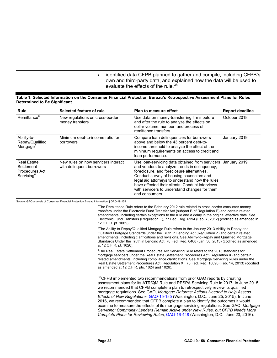• identified data CFPB planned to gather and compile, including CFPB's own and third-party data, and explained how the data will be used to evaluate the effects of the rule.<sup>[38](#page-26-0)</sup>

#### <span id="page-25-0"></span>**Table 1: Selected Information on the Consumer Financial Protection Bureau's Retrospective Assessment Plans for Rules Determined to Be Significant**

| <b>Rule</b>                                                                  | Selected feature of rule                                         | <b>Plan to measure effect</b>                                                                                                                                                                                                                                                                                                                                                    | <b>Report deadline</b> |
|------------------------------------------------------------------------------|------------------------------------------------------------------|----------------------------------------------------------------------------------------------------------------------------------------------------------------------------------------------------------------------------------------------------------------------------------------------------------------------------------------------------------------------------------|------------------------|
| Remittance <sup>a</sup>                                                      | New regulations on cross-border<br>money transfers               | Use data on money-transferring firms before<br>and after the rule to analyze the effects on<br>dollar volume, number, and process of<br>remittance transfers.                                                                                                                                                                                                                    | October 2018           |
| Ability-to-<br>Repay/Qualified<br>Mortgage <sup>b</sup>                      | Minimum debt-to-income ratio for<br>borrowers                    | Compare loan delinquencies for borrowers<br>above and below the 43 percent debt-to-<br>income threshold to analyze the effect of the<br>minimum requirements on access to credit and<br>loan performance.                                                                                                                                                                        | January 2019           |
| <b>Real Estate</b><br>Settlement<br>Procedures Act<br>Servicing <sup>c</sup> | New rules on how servicers interact<br>with delinguent borrowers | Use Ioan-servicing data obtained from servicers January 2019<br>and vendors to analyze trends in delinquency,<br>foreclosure, and foreclosure alternatives.<br>Conduct survey of housing counselors and<br>legal aid attorneys to understand how the rules<br>have affected their clients. Conduct interviews<br>with servicers to understand changes for them<br>and consumers. |                        |

<span id="page-25-1"></span>Source: GAO analysis of Consumer Financial Protection Bureau information. | GAO-19-158

<sup>a</sup>The Remittance Rule refers to the February 2012 rule related to cross-border consumer money transfers under the Electronic Fund Transfer Act (subpart B of Regulation E) and certain related amendments, including certain exceptions to the rule and a delay in the original effective date. See Electronic Fund Transfers (Regulation E), 77 Fed. Reg. 6194 (Feb. 7, 2012) (codified as amended in 12 C.F.R. pt. 1005).

<sup>b</sup>The Ability-to-Repay/Qualified Mortgage Rule refers to the January 2013 Ability-to-Repay and Qualified Mortgage Standards under the Truth In Lending Act (Regulation Z) and certain related amendments, including clarifications and revisions. See Ability-to-Repay and Qualified Mortgage Standards Under the Truth in Lending Act, 78 Fed. Reg. 6408 (Jan. 30, 2013) (codified as amended at 12 C.F.R. pt. 1026).

<sup>c</sup>The Real Estate Settlement Procedures Act Servicing Rule refers to the 2013 standards for mortgage servicers under the Real Estate Settlement Procedures Act (Regulation X) and certain related amendments, including compliance clarifications. See Mortgage Servicing Rules under the Real Estate Settlement Procedures Act (Regulation X), 78 Fed. Reg. 10696 (Feb. 14, 2013) (codified as amended at 12 C.F.R. pts. 1024 and 1026).

<sup>38</sup>CFPB implemented two recommendations from prior GAO reports by creating assessment plans for its ATR/QM Rule and RESPA Servicing Rule in 2017. In June 2015, we recommended that CFPB complete a plan to retrospectively review its qualified mortgage regulations. See GAO, *Mortgage Reforms: Actions Needed to Help Assess Effects of New Regulations*, [GAO-15-185 \(](https://www.gao.gov/products/GAO-15-185)Washington, D.C.: June 25, 2015). In June 2016, we recommended that CFPB complete a plan to identify the outcomes it would examine to measure the effects of its mortgage servicing regulations. See GAO, *Mortgage Servicing: Community Lenders Remain Active under New Rules, but CFPB Needs More Complete Plans for Reviewing Rules*, [GAO-16-448 \(](https://www.gao.gov/products/GAO-16-448)Washington, D.C.: June 23, 2016).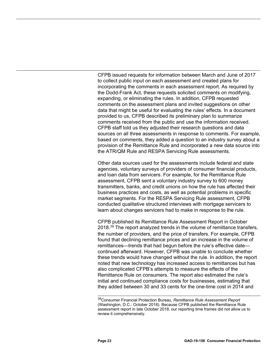CFPB issued requests for information between March and June of 2017 to collect public input on each assessment and created plans for incorporating the comments in each assessment report. As required by the Dodd-Frank Act, these requests solicited comments on modifying, expanding, or eliminating the rules. In addition, CFPB requested comments on the assessment plans and invited suggestions on other data that might be useful for evaluating the rules' effects. In a document provided to us, CFPB described its preliminary plan to summarize comments received from the public and use the information received. CFPB staff told us they adjusted their research questions and data sources on all three assessments in response to comments. For example, based on comments, they added a question to an industry survey about a provision of the Remittance Rule and incorporated a new data source into the ATR/QM Rule and RESPA Servicing Rule assessments.

Other data sources used for the assessments include federal and state agencies, voluntary surveys of providers of consumer financial products, and loan data from servicers. For example, for the Remittance Rule assessment, CFPB sent a voluntary industry survey to 600 money transmitters, banks, and credit unions on how the rule has affected their business practices and costs, as well as potential problems in specific market segments. For the RESPA Servicing Rule assessment, CFPB conducted qualitative structured interviews with mortgage servicers to learn about changes servicers had to make in response to the rule.

CFPB published its Remittance Rule Assessment Report in October 2018. $39$  The report analyzed trends in the volume of remittance transfers, the number of providers, and the price of transfers. For example, CFPB found that declining remittance prices and an increase in the volume of remittances—trends that had begun before the rule's effective date continued afterward. However, CFPB was unable to conclude whether these trends would have changed without the rule. In addition, the report noted that new technology has increased access to remittances but has also complicated CFPB's attempts to measure the effects of the Remittance Rule on consumers. The report also estimated the rule's initial and continued compliance costs for businesses, estimating that they added between 30 and 33 cents for the one-time cost in 2014 and

<span id="page-26-0"></span> <sup>39</sup>Consumer Financial Protection Bureau, *Remittance Rule Assessment Report* (Washington, D.C.: October 2018). Because CFPB published the Remittance Rule assessment report in late October 2018, our reporting time frames did not allow us to review it comprehensively.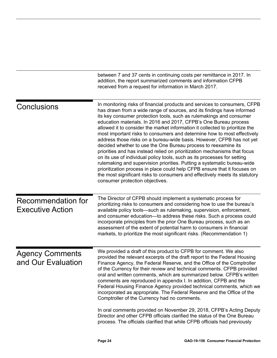<span id="page-27-3"></span><span id="page-27-2"></span><span id="page-27-1"></span><span id="page-27-0"></span>

|                                               | between 7 and 37 cents in continuing costs per remittance in 2017. In<br>addition, the report summarized comments and information CFPB<br>received from a request for information in March 2017.                                                                                                                                                                                                                                                                                                                                                                                                                                                                                                                                                                                                                                                                                                                                                                                                                                        |  |
|-----------------------------------------------|-----------------------------------------------------------------------------------------------------------------------------------------------------------------------------------------------------------------------------------------------------------------------------------------------------------------------------------------------------------------------------------------------------------------------------------------------------------------------------------------------------------------------------------------------------------------------------------------------------------------------------------------------------------------------------------------------------------------------------------------------------------------------------------------------------------------------------------------------------------------------------------------------------------------------------------------------------------------------------------------------------------------------------------------|--|
| Conclusions                                   | In monitoring risks of financial products and services to consumers, CFPB<br>has drawn from a wide range of sources, and its findings have informed<br>its key consumer protection tools, such as rulemakings and consumer<br>education materials. In 2016 and 2017, CFPB's One Bureau process<br>allowed it to consider the market information it collected to prioritize the<br>most important risks to consumers and determine how to most effectively<br>address those risks on a bureau-wide basis. However, CFPB has not yet<br>decided whether to use the One Bureau process to reexamine its<br>priorities and has instead relied on prioritization mechanisms that focus<br>on its use of individual policy tools, such as its processes for setting<br>rulemaking and supervision priorities. Putting a systematic bureau-wide<br>prioritization process in place could help CFPB ensure that it focuses on<br>the most significant risks to consumers and effectively meets its statutory<br>consumer protection objectives. |  |
| Recommendation for<br><b>Executive Action</b> | The Director of CFPB should implement a systematic process for<br>prioritizing risks to consumers and considering how to use the bureau's<br>available policy tools—such as rulemaking, supervision, enforcement,<br>and consumer education-to address these risks. Such a process could<br>incorporate principles from the prior One Bureau process, such as an<br>assessment of the extent of potential harm to consumers in financial<br>markets, to prioritize the most significant risks. (Recommendation 1)                                                                                                                                                                                                                                                                                                                                                                                                                                                                                                                       |  |
| <b>Agency Comments</b><br>and Our Evaluation  | We provided a draft of this product to CFPB for comment. We also<br>provided the relevant excerpts of the draft report to the Federal Housing<br>Finance Agency, the Federal Reserve, and the Office of the Comptroller<br>of the Currency for their review and technical comments. CFPB provided<br>oral and written comments, which are summarized below. CFPB's written<br>comments are reproduced in appendix I. In addition, CFPB and the<br>Federal Housing Finance Agency provided technical comments, which we<br>incorporated as appropriate. The Federal Reserve and the Office of the<br>Comptroller of the Currency had no comments.                                                                                                                                                                                                                                                                                                                                                                                        |  |
|                                               | In oral comments provided on November 29, 2018, CFPB's Acting Deputy<br>Director and other CFPB officials clarified the status of the One Bureau<br>process. The officials clarified that while CFPB officials had previously                                                                                                                                                                                                                                                                                                                                                                                                                                                                                                                                                                                                                                                                                                                                                                                                           |  |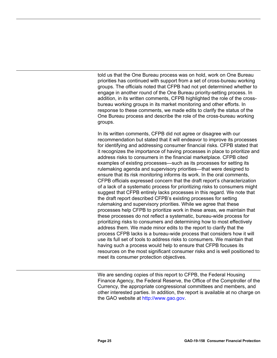told us that the One Bureau process was on hold, work on One Bureau priorities has continued with support from a set of cross-bureau working groups. The officials noted that CFPB had not yet determined whether to engage in another round of the One Bureau priority-setting process. In addition, in its written comments, CFPB highlighted the role of the crossbureau working groups in its market monitoring and other efforts. In response to these comments, we made edits to clarify the status of the One Bureau process and describe the role of the cross-bureau working groups.

In its written comments, CFPB did not agree or disagree with our recommendation but stated that it will endeavor to improve its processes for identifying and addressing consumer financial risks. CFPB stated that it recognizes the importance of having processes in place to prioritize and address risks to consumers in the financial marketplace. CFPB cited examples of existing processes—such as its processes for setting its rulemaking agenda and supervisory priorities—that were designed to ensure that its risk monitoring informs its work. In the oral comments, CFPB officials expressed concern that the draft report's characterization of a lack of a systematic process for prioritizing risks to consumers might suggest that CFPB entirely lacks processes in this regard. We note that the draft report described CFPB's existing processes for setting rulemaking and supervisory priorities. While we agree that these processes help CFPB to prioritize work in these areas, we maintain that these processes do not reflect a systematic, bureau-wide process for prioritizing risks to consumers and determining how to most effectively address them. We made minor edits to the report to clarify that the process CFPB lacks is a bureau-wide process that considers how it will use its full set of tools to address risks to consumers. We maintain that having such a process would help to ensure that CFPB focuses its resources on the most significant consumer risks and is well positioned to meet its consumer protection objectives.

We are sending copies of this report to CFPB, the Federal Housing Finance Agency, the Federal Reserve, the Office of the Comptroller of the Currency, the appropriate congressional committees and members, and other interested parties. In addition, the report is available at no charge on the GAO website at [http://www.gao.gov.](http://www.gao.gov/)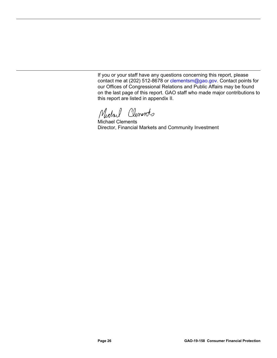If you or your staff have any questions concerning this report, please contact me at (202) 512-8678 or [clementsm@gao.gov.](mailto:clementsm@gao.gov) Contact points for our Offices of Congressional Relations and Public Affairs may be found on the last page of this report. GAO staff who made major contributions to this report are listed in appendix II.

Michael Clements

Michael Clements Director, Financial Markets and Community Investment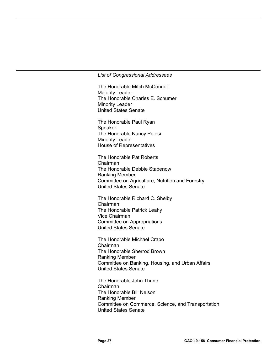#### *List of Congressional Addressees*

The Honorable Mitch McConnell Majority Leader The Honorable Charles E. Schumer Minority Leader United States Senate

The Honorable Paul Ryan Speaker The Honorable Nancy Pelosi Minority Leader House of Representatives

The Honorable Pat Roberts Chairman The Honorable Debbie Stabenow Ranking Member Committee on Agriculture, Nutrition and Forestry United States Senate

The Honorable Richard C. Shelby Chairman The Honorable Patrick Leahy Vice Chairman Committee on Appropriations United States Senate

The Honorable Michael Crapo Chairman The Honorable Sherrod Brown Ranking Member Committee on Banking, Housing, and Urban Affairs United States Senate

The Honorable John Thune Chairman The Honorable Bill Nelson Ranking Member Committee on Commerce, Science, and Transportation United States Senate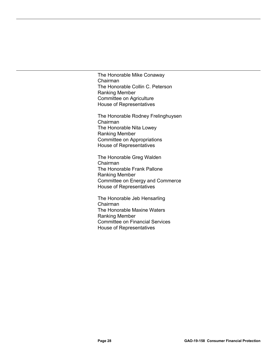The Honorable Mike Conaway Chairman The Honorable Collin C. Peterson Ranking Member Committee on Agriculture House of Representatives

The Honorable Rodney Frelinghuysen Chairman The Honorable Nita Lowey Ranking Member Committee on Appropriations House of Representatives

The Honorable Greg Walden Chairman The Honorable Frank Pallone Ranking Member Committee on Energy and Commerce House of Representatives

The Honorable Jeb Hensarling Chairman The Honorable Maxine Waters Ranking Member Committee on Financial Services House of Representatives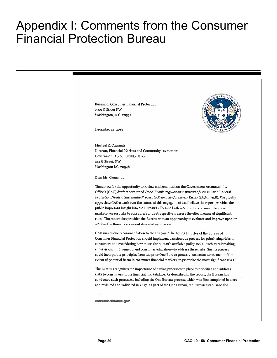### <span id="page-32-0"></span>**Appendix I: Comments from the Consumer Financial Protection Bureau** Appendix I: Comments from the Consumer Financial Protection Bureau

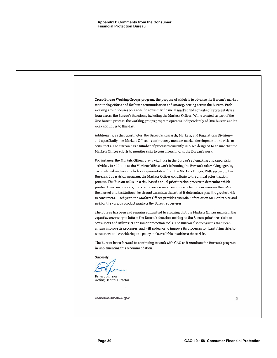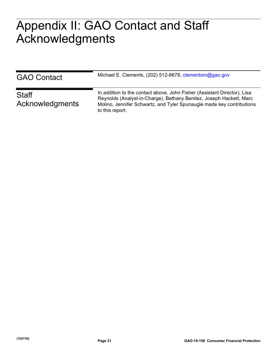# <span id="page-34-0"></span> $\Lambda \cap \Omega$ AL J L J L I Appendix II: GAO Contact and Staff Acknowledgments

| <b>GAO Contact</b>              | Michael E. Clements, (202) 512-8678, clementsm@gao.gov                                                                                                                                                                                      |
|---------------------------------|---------------------------------------------------------------------------------------------------------------------------------------------------------------------------------------------------------------------------------------------|
| <b>Staff</b><br>Acknowledgments | In addition to the contact above, John Fisher (Assistant Director), Lisa<br>Reynolds (Analyst-in-Charge), Bethany Benitez, Joseph Hackett, Marc<br>Molino, Jennifer Schwartz, and Tyler Spunaugle made key contributions<br>to this report. |